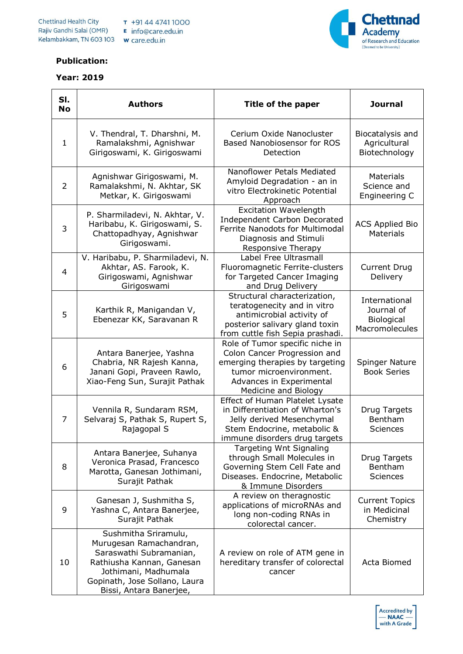



## **Publication:**

## **Year: 2019**

| SI.<br><b>No</b> | <b>Authors</b>                                                                                                                                                                              | Title of the paper                                                                                                                                                                | <b>Journal</b>                                                     |
|------------------|---------------------------------------------------------------------------------------------------------------------------------------------------------------------------------------------|-----------------------------------------------------------------------------------------------------------------------------------------------------------------------------------|--------------------------------------------------------------------|
| $\mathbf{1}$     | V. Thendral, T. Dharshni, M.<br>Ramalakshmi, Agnishwar<br>Girigoswami, K. Girigoswami                                                                                                       | Cerium Oxide Nanocluster<br>Based Nanobiosensor for ROS<br>Detection                                                                                                              | Biocatalysis and<br>Agricultural<br>Biotechnology                  |
| $\overline{2}$   | Agnishwar Girigoswami, M.<br>Ramalakshmi, N. Akhtar, SK<br>Metkar, K. Girigoswami                                                                                                           | Nanoflower Petals Mediated<br>Amyloid Degradation - an in<br>vitro Electrokinetic Potential<br>Approach                                                                           | <b>Materials</b><br>Science and<br>Engineering C                   |
| 3                | P. Sharmiladevi, N. Akhtar, V.<br>Haribabu, K. Girigoswami, S.<br>Chattopadhyay, Agnishwar<br>Girigoswami.                                                                                  | <b>Excitation Wavelength</b><br>Independent Carbon Decorated<br>Ferrite Nanodots for Multimodal<br>Diagnosis and Stimuli<br>Responsive Therapy                                    | <b>ACS Applied Bio</b><br><b>Materials</b>                         |
| 4                | V. Haribabu, P. Sharmiladevi, N.<br>Akhtar, AS. Farook, K.<br>Girigoswami, Agnishwar<br>Girigoswami                                                                                         | Label Free Ultrasmall<br>Fluoromagnetic Ferrite-clusters<br>for Targeted Cancer Imaging<br>and Drug Delivery                                                                      | <b>Current Drug</b><br>Delivery                                    |
| 5                | Karthik R, Manigandan V,<br>Ebenezar KK, Saravanan R                                                                                                                                        | Structural characterization,<br>teratogenecity and in vitro<br>antimicrobial activity of<br>posterior salivary gland toxin<br>from cuttle fish Sepia prashadi.                    | International<br>Journal of<br><b>Biological</b><br>Macromolecules |
| 6                | Antara Banerjee, Yashna<br>Chabria, NR Rajesh Kanna,<br>Janani Gopi, Praveen Rawlo,<br>Xiao-Feng Sun, Surajit Pathak                                                                        | Role of Tumor specific niche in<br>Colon Cancer Progression and<br>emerging therapies by targeting<br>tumor microenvironment.<br>Advances in Experimental<br>Medicine and Biology | Spinger Nature<br><b>Book Series</b>                               |
| 7                | Vennila R, Sundaram RSM,<br>Selvaraj S, Pathak S, Rupert S,<br>Rajagopal S                                                                                                                  | Effect of Human Platelet Lysate<br>in Differentiation of Wharton's<br>Jelly derived Mesenchymal<br>Stem Endocrine, metabolic &<br>immune disorders drug targets                   | Drug Targets<br>Bentham<br>Sciences                                |
| 8                | Antara Banerjee, Suhanya<br>Veronica Prasad, Francesco<br>Marotta, Ganesan Jothimani,<br>Surajit Pathak                                                                                     | Targeting Wnt Signaling<br>through Small Molecules in<br>Governing Stem Cell Fate and<br>Diseases. Endocrine, Metabolic<br>& Immune Disorders                                     | Drug Targets<br>Bentham<br><b>Sciences</b>                         |
| 9                | Ganesan J, Sushmitha S,<br>Yashna C, Antara Banerjee,<br>Surajit Pathak                                                                                                                     | A review on theragnostic<br>applications of microRNAs and<br>long non-coding RNAs in<br>colorectal cancer.                                                                        | <b>Current Topics</b><br>in Medicinal<br>Chemistry                 |
| 10               | Sushmitha Sriramulu,<br>Murugesan Ramachandran,<br>Saraswathi Subramanian,<br>Rathiusha Kannan, Ganesan<br>Jothimani, Madhumala<br>Gopinath, Jose Sollano, Laura<br>Bissi, Antara Banerjee, | A review on role of ATM gene in<br>hereditary transfer of colorectal<br>cancer                                                                                                    | Acta Biomed                                                        |

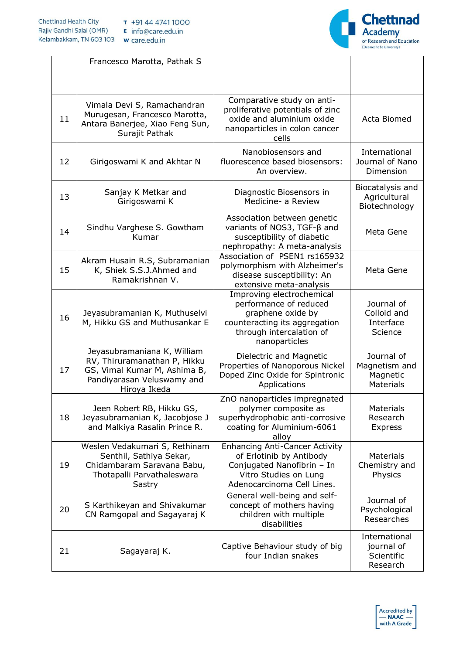

|    | Francesco Marotta, Pathak S                                                                                                               |                                                                                                                                                        |                                                             |
|----|-------------------------------------------------------------------------------------------------------------------------------------------|--------------------------------------------------------------------------------------------------------------------------------------------------------|-------------------------------------------------------------|
| 11 | Vimala Devi S, Ramachandran<br>Murugesan, Francesco Marotta,<br>Antara Banerjee, Xiao Feng Sun,<br>Surajit Pathak                         | Comparative study on anti-<br>proliferative potentials of zinc<br>oxide and aluminium oxide<br>nanoparticles in colon cancer<br>cells                  | Acta Biomed                                                 |
| 12 | Girigoswami K and Akhtar N                                                                                                                | Nanobiosensors and<br>fluorescence based biosensors:<br>An overview.                                                                                   | International<br>Journal of Nano<br>Dimension               |
| 13 | Sanjay K Metkar and<br>Girigoswami K                                                                                                      | Diagnostic Biosensors in<br>Medicine- a Review                                                                                                         | Biocatalysis and<br>Agricultural<br>Biotechnology           |
| 14 | Sindhu Varghese S. Gowtham<br>Kumar                                                                                                       | Association between genetic<br>variants of NOS3, TGF-β and<br>susceptibility of diabetic<br>nephropathy: A meta-analysis                               | Meta Gene                                                   |
| 15 | Akram Husain R.S, Subramanian<br>K, Shiek S.S.J.Ahmed and<br>Ramakrishnan V.                                                              | Association of PSEN1 rs165932<br>polymorphism with Alzheimer's<br>disease susceptibility: An<br>extensive meta-analysis                                | Meta Gene                                                   |
| 16 | Jeyasubramanian K, Muthuselvi<br>M, Hikku GS and Muthusankar E                                                                            | Improving electrochemical<br>performance of reduced<br>graphene oxide by<br>counteracting its aggregation<br>through intercalation of<br>nanoparticles | Journal of<br>Colloid and<br>Interface<br>Science           |
| 17 | Jeyasubramaniana K, William<br>RV, Thiruramanathan P, Hikku<br>GS, Vimal Kumar M, Ashima B,<br>Pandiyarasan Veluswamy and<br>Hiroya Ikeda | Dielectric and Magnetic<br>Properties of Nanoporous Nickel<br>Doped Zinc Oxide for Spintronic<br>Applications                                          | Journal of<br>Magnetism and<br>Magnetic<br><b>Materials</b> |
| 18 | Jeen Robert RB, Hikku GS,<br>Jeyasubramanian K, Jacobjose J<br>and Malkiya Rasalin Prince R.                                              | ZnO nanoparticles impregnated<br>polymer composite as<br>superhydrophobic anti-corrosive<br>coating for Aluminium-6061<br>alloy                        | Materials<br>Research<br><b>Express</b>                     |
| 19 | Weslen Vedakumari S, Rethinam<br>Senthil, Sathiya Sekar,<br>Chidambaram Saravana Babu,<br>Thotapalli Parvathaleswara<br>Sastry            | <b>Enhancing Anti-Cancer Activity</b><br>of Erlotinib by Antibody<br>Conjugated Nanofibrin - In<br>Vitro Studies on Lung<br>Adenocarcinoma Cell Lines. | <b>Materials</b><br>Chemistry and<br>Physics                |
| 20 | S Karthikeyan and Shivakumar<br>CN Ramgopal and Sagayaraj K                                                                               | General well-being and self-<br>concept of mothers having<br>children with multiple<br>disabilities                                                    | Journal of<br>Psychological<br>Researches                   |
| 21 | Sagayaraj K.                                                                                                                              | Captive Behaviour study of big<br>four Indian snakes                                                                                                   | International<br>journal of<br>Scientific<br>Research       |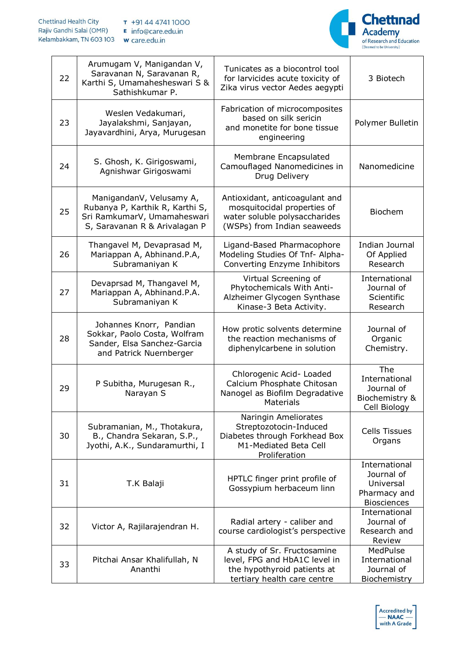

| 22 | Arumugam V, Manigandan V,<br>Saravanan N, Saravanan R,<br>Karthi S, Umamahesheswari S &<br>Sathishkumar P.                  | Tunicates as a biocontrol tool<br>for larvicides acute toxicity of<br>Zika virus vector Aedes aegypti                         | 3 Biotech                                                                      |
|----|-----------------------------------------------------------------------------------------------------------------------------|-------------------------------------------------------------------------------------------------------------------------------|--------------------------------------------------------------------------------|
| 23 | Weslen Vedakumari,<br>Jayalakshmi, Sanjayan,<br>Jayavardhini, Arya, Murugesan                                               | Fabrication of microcomposites<br>based on silk sericin<br>and monetite for bone tissue<br>engineering                        | Polymer Bulletin                                                               |
| 24 | S. Ghosh, K. Girigoswami,<br>Agnishwar Girigoswami                                                                          | Membrane Encapsulated<br>Camouflaged Nanomedicines in<br>Drug Delivery                                                        | Nanomedicine                                                                   |
| 25 | ManigandanV, Velusamy A,<br>Rubanya P, Karthik R, Karthi S,<br>Sri RamkumarV, Umamaheswari<br>S, Saravanan R & Arivalagan P | Antioxidant, anticoagulant and<br>mosquitocidal properties of<br>water soluble polysaccharides<br>(WSPs) from Indian seaweeds | <b>Biochem</b>                                                                 |
| 26 | Thangavel M, Devaprasad M,<br>Mariappan A, Abhinand.P.A,<br>Subramaniyan K                                                  | Ligand-Based Pharmacophore<br>Modeling Studies Of Tnf- Alpha-<br>Converting Enzyme Inhibitors                                 | Indian Journal<br>Of Applied<br>Research                                       |
| 27 | Devaprsad M, Thangavel M,<br>Mariappan A, Abhinand.P.A.<br>Subramaniyan K                                                   | Virtual Screening of<br>Phytochemicals With Anti-<br>Alzheimer Glycogen Synthase<br>Kinase-3 Beta Activity.                   | International<br>Journal of<br>Scientific<br>Research                          |
| 28 | Johannes Knorr, Pandian<br>Sokkar, Paolo Costa, Wolfram<br>Sander, Elsa Sanchez-Garcia<br>and Patrick Nuernberger           | How protic solvents determine<br>the reaction mechanisms of<br>diphenylcarbene in solution                                    | Journal of<br>Organic<br>Chemistry.                                            |
| 29 | P Subitha, Murugesan R.,<br>Narayan S                                                                                       | Chlorogenic Acid- Loaded<br>Calcium Phosphate Chitosan<br>Nanogel as Biofilm Degradative<br><b>Materials</b>                  | The<br>International<br>Journal of<br>Biochemistry &<br>Cell Biology           |
| 30 | Subramanian, M., Thotakura,<br>B., Chandra Sekaran, S.P.,<br>Jyothi, A.K., Sundaramurthi, I                                 | Naringin Ameliorates<br>Streptozotocin-Induced<br>Diabetes through Forkhead Box<br>M1-Mediated Beta Cell<br>Proliferation     | <b>Cells Tissues</b><br>Organs                                                 |
| 31 | T.K Balaji                                                                                                                  | HPTLC finger print profile of<br>Gossypium herbaceum linn                                                                     | International<br>Journal of<br>Universal<br>Pharmacy and<br><b>Biosciences</b> |
| 32 | Victor A, Rajilarajendran H.                                                                                                | Radial artery - caliber and<br>course cardiologist's perspective                                                              | International<br>Journal of<br>Research and<br>Review                          |
| 33 | Pitchai Ansar Khalifullah, N<br>Ananthi                                                                                     | A study of Sr. Fructosamine<br>level, FPG and HbA1C level in<br>the hypothyroid patients at<br>tertiary health care centre    | MedPulse<br>International<br>Journal of<br>Biochemistry                        |

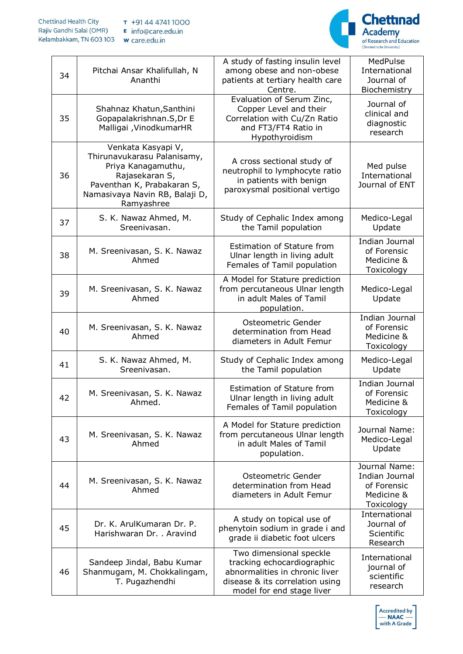

| 34 | Pitchai Ansar Khalifullah, N<br>Ananthi                                                                                                                                 | A study of fasting insulin level<br>among obese and non-obese<br>patients at tertiary health care<br>Centre.                                            | MedPulse<br>International<br>Journal of<br>Biochemistry                    |
|----|-------------------------------------------------------------------------------------------------------------------------------------------------------------------------|---------------------------------------------------------------------------------------------------------------------------------------------------------|----------------------------------------------------------------------------|
| 35 | Shahnaz Khatun, Santhini<br>Gopapalakrishnan.S, Dr E<br>Malligai , VinodkumarHR                                                                                         | Evaluation of Serum Zinc,<br>Copper Level and their<br>Correlation with Cu/Zn Ratio<br>and FT3/FT4 Ratio in<br>Hypothyroidism                           | Journal of<br>clinical and<br>diagnostic<br>research                       |
| 36 | Venkata Kasyapi V,<br>Thirunavukarasu Palanisamy,<br>Priya Kanagamuthu,<br>Rajasekaran S,<br>Paventhan K, Prabakaran S,<br>Namasivaya Navin RB, Balaji D,<br>Ramyashree | A cross sectional study of<br>neutrophil to lymphocyte ratio<br>in patients with benign<br>paroxysmal positional vertigo                                | Med pulse<br>International<br>Journal of ENT                               |
| 37 | S. K. Nawaz Ahmed, M.<br>Sreenivasan.                                                                                                                                   | Study of Cephalic Index among<br>the Tamil population                                                                                                   | Medico-Legal<br>Update                                                     |
| 38 | M. Sreenivasan, S. K. Nawaz<br>Ahmed                                                                                                                                    | Estimation of Stature from<br>Ulnar length in living adult<br>Females of Tamil population                                                               | Indian Journal<br>of Forensic<br>Medicine &<br>Toxicology                  |
| 39 | M. Sreenivasan, S. K. Nawaz<br>Ahmed                                                                                                                                    | A Model for Stature prediction<br>from percutaneous Ulnar length<br>in adult Males of Tamil<br>population.                                              | Medico-Legal<br>Update                                                     |
| 40 | M. Sreenivasan, S. K. Nawaz<br>Ahmed                                                                                                                                    | Osteometric Gender<br>determination from Head<br>diameters in Adult Femur                                                                               | Indian Journal<br>of Forensic<br>Medicine &<br>Toxicology                  |
| 41 | S. K. Nawaz Ahmed, M.<br>Sreenivasan.                                                                                                                                   | Study of Cephalic Index among<br>the Tamil population                                                                                                   | Medico-Legal<br>Update                                                     |
| 42 | M. Sreenivasan, S. K. Nawaz<br>Ahmed.                                                                                                                                   | Estimation of Stature from<br>Ulnar length in living adult<br>Females of Tamil population                                                               | <b>Indian Journal</b><br>of Forensic<br>Medicine &<br>Toxicology           |
| 43 | M. Sreenivasan, S. K. Nawaz<br>Ahmed                                                                                                                                    | A Model for Stature prediction<br>from percutaneous Ulnar length<br>in adult Males of Tamil<br>population.                                              | Journal Name:<br>Medico-Legal<br>Update                                    |
| 44 | M. Sreenivasan, S. K. Nawaz<br>Ahmed                                                                                                                                    | Osteometric Gender<br>determination from Head<br>diameters in Adult Femur                                                                               | Journal Name:<br>Indian Journal<br>of Forensic<br>Medicine &<br>Toxicology |
| 45 | Dr. K. ArulKumaran Dr. P.<br>Harishwaran Dr. . Aravind                                                                                                                  | A study on topical use of<br>phenytoin sodium in grade i and<br>grade ii diabetic foot ulcers                                                           | International<br>Journal of<br>Scientific<br>Research                      |
| 46 | Sandeep Jindal, Babu Kumar<br>Shanmugam, M. Chokkalingam,<br>T. Pugazhendhi                                                                                             | Two dimensional speckle<br>tracking echocardiographic<br>abnormalities in chronic liver<br>disease & its correlation using<br>model for end stage liver | International<br>journal of<br>scientific<br>research                      |

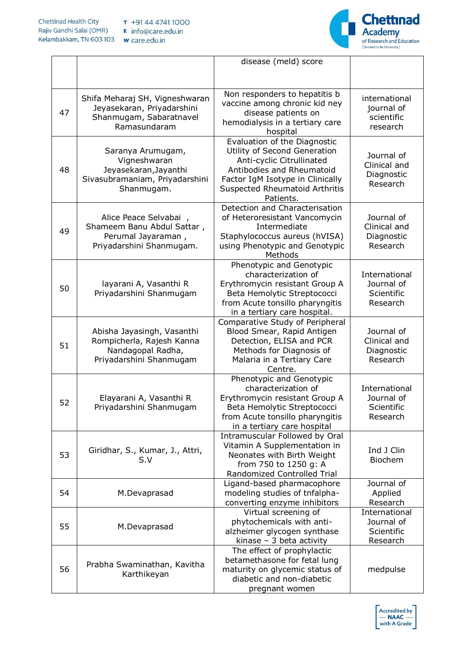

|    |                                                                                                            | disease (meld) score                                                                                                                                                                                      |                                                       |
|----|------------------------------------------------------------------------------------------------------------|-----------------------------------------------------------------------------------------------------------------------------------------------------------------------------------------------------------|-------------------------------------------------------|
|    |                                                                                                            |                                                                                                                                                                                                           |                                                       |
| 47 | Shifa Meharaj SH, Vigneshwaran<br>Jeyasekaran, Priyadarshini<br>Shanmugam, Sabaratnavel<br>Ramasundaram    | Non responders to hepatitis b<br>vaccine among chronic kid ney<br>disease patients on<br>hemodialysis in a tertiary care<br>hospital                                                                      | international<br>journal of<br>scientific<br>research |
| 48 | Saranya Arumugam,<br>Vigneshwaran<br>Jeyasekaran, Jayanthi<br>Sivasubramaniam, Priyadarshini<br>Shanmugam. | Evaluation of the Diagnostic<br>Utility of Second Generation<br>Anti-cyclic Citrullinated<br>Antibodies and Rheumatoid<br>Factor IgM Isotype in Clinically<br>Suspected Rheumatoid Arthritis<br>Patients. | Journal of<br>Clinical and<br>Diagnostic<br>Research  |
| 49 | Alice Peace Selvabai,<br>Shameem Banu Abdul Sattar,<br>Perumal Jayaraman,<br>Priyadarshini Shanmugam.      | Detection and Characterisation<br>of Heteroresistant Vancomycin<br>Intermediate<br>Staphylococcus aureus (hVISA)<br>using Phenotypic and Genotypic<br>Methods                                             | Journal of<br>Clinical and<br>Diagnostic<br>Research  |
| 50 | layarani A, Vasanthi R<br>Priyadarshini Shanmugam                                                          | Phenotypic and Genotypic<br>characterization of<br>Erythromycin resistant Group A<br>Beta Hemolytic Streptococci<br>from Acute tonsillo pharyngitis<br>in a tertiary care hospital.                       | International<br>Journal of<br>Scientific<br>Research |
| 51 | Abisha Jayasingh, Vasanthi<br>Rompicherla, Rajesh Kanna<br>Nandagopal Radha,<br>Priyadarshini Shanmugam    | Comparative Study of Peripheral<br>Blood Smear, Rapid Antigen<br>Detection, ELISA and PCR<br>Methods for Diagnosis of<br>Malaria in a Tertiary Care<br>Centre.                                            | Journal of<br>Clinical and<br>Diagnostic<br>Research  |
| 52 | Elayarani A, Vasanthi R<br>Priyadarshini Shanmugam                                                         | Phenotypic and Genotypic<br>characterization of<br>Erythromycin resistant Group A<br>Beta Hemolytic Streptococci<br>from Acute tonsillo pharyngitis<br>in a tertiary care hospital                        | International<br>Journal of<br>Scientific<br>Research |
| 53 | Giridhar, S., Kumar, J., Attri,<br>S.V                                                                     | Intramuscular Followed by Oral<br>Vitamin A Supplementation in<br>Neonates with Birth Weight<br>from 750 to 1250 g: A<br>Randomized Controlled Trial                                                      | Ind J Clin<br><b>Biochem</b>                          |
| 54 | M.Devaprasad                                                                                               | Ligand-based pharmacophore<br>modeling studies of tnfalpha-<br>converting enzyme inhibitors                                                                                                               | Journal of<br>Applied<br>Research                     |
| 55 | M.Devaprasad                                                                                               | Virtual screening of<br>phytochemicals with anti-<br>alzheimer glycogen synthase<br>kinase $-3$ beta activity                                                                                             | International<br>Journal of<br>Scientific<br>Research |
| 56 | Prabha Swaminathan, Kavitha<br>Karthikeyan                                                                 | The effect of prophylactic<br>betamethasone for fetal lung<br>maturity on glycemic status of<br>diabetic and non-diabetic<br>pregnant women                                                               | medpulse                                              |

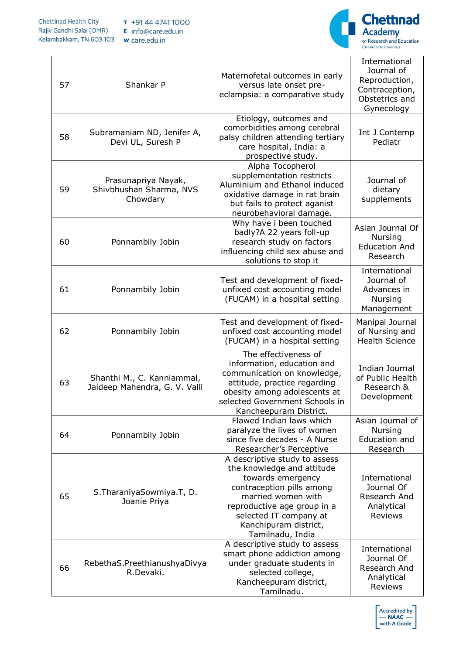

| 57 | Shankar P                                                   | Maternofetal outcomes in early<br>versus late onset pre-<br>eclampsia: a comparative study                                                                                                                                                | International<br>Journal of<br>Reproduction,<br>Contraception,<br>Obstetrics and<br>Gynecology |
|----|-------------------------------------------------------------|-------------------------------------------------------------------------------------------------------------------------------------------------------------------------------------------------------------------------------------------|------------------------------------------------------------------------------------------------|
| 58 | Subramaniam ND, Jenifer A,<br>Devi UL, Suresh P             | Etiology, outcomes and<br>comorbidities among cerebral<br>palsy children attending tertiary<br>care hospital, India: a<br>prospective study.                                                                                              | Int J Contemp<br>Pediatr                                                                       |
| 59 | Prasunapriya Nayak,<br>Shivbhushan Sharma, NVS<br>Chowdary  | Alpha Tocopherol<br>supplementation restricts<br>Aluminium and Ethanol induced<br>oxidative damage in rat brain<br>but fails to protect aganist<br>neurobehavioral damage.                                                                | Journal of<br>dietary<br>supplements                                                           |
| 60 | Ponnambily Jobin                                            | Why have i been touched<br>badly?A 22 years foll-up<br>research study on factors<br>influencing child sex abuse and<br>solutions to stop it                                                                                               | Asian Journal Of<br><b>Nursing</b><br><b>Education And</b><br>Research                         |
| 61 | Ponnambily Jobin                                            | Test and development of fixed-<br>unfixed cost accounting model<br>(FUCAM) in a hospital setting                                                                                                                                          | International<br>Journal of<br>Advances in<br>Nursing<br>Management                            |
| 62 | Ponnambily Jobin                                            | Test and development of fixed-<br>unfixed cost accounting model<br>(FUCAM) in a hospital setting                                                                                                                                          | Manipal Journal<br>of Nursing and<br><b>Health Science</b>                                     |
| 63 | Shanthi M., C. Kanniammal,<br>Jaideep Mahendra, G. V. Valli | The effectiveness of<br>information, education and<br>communication on knowledge,<br>attitude, practice regarding<br>obesity among adolescents at<br>selected Government Schools in<br>Kancheepuram District.                             | Indian Journal<br>of Public Health<br>Research &<br>Development                                |
| 64 | Ponnambily Jobin                                            | Flawed Indian laws which<br>paralyze the lives of women<br>since five decades - A Nurse<br>Researcher's Perceptive                                                                                                                        | Asian Journal of<br><b>Nursing</b><br><b>Education and</b><br>Research                         |
| 65 | S. Tharaniya Sowmiya. T, D.<br>Joanie Priya                 | A descriptive study to assess<br>the knowledge and attitude<br>towards emergency<br>contraception pills among<br>married women with<br>reproductive age group in a<br>selected IT company at<br>Kanchipuram district,<br>Tamilnadu, India | International<br>Journal Of<br>Research And<br>Analytical<br><b>Reviews</b>                    |
| 66 | RebethaS.PreethianushyaDivya<br>R.Devaki.                   | A descriptive study to assess<br>smart phone addiction among<br>under graduate students in<br>selected college,<br>Kancheepuram district,<br>Tamilnadu.                                                                                   | International<br>Journal Of<br>Research And<br>Analytical<br>Reviews                           |

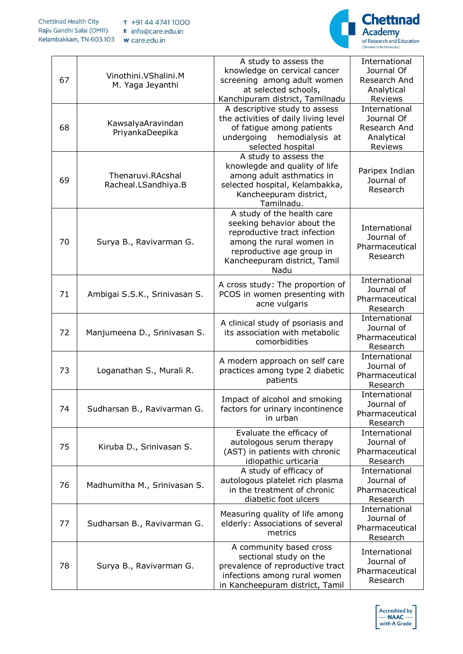

| 67 | Vinothini.VShalini.M<br>M. Yaga Jeyanthi | A study to assess the<br>knowledge on cervical cancer<br>screening among adult women<br>at selected schools,<br>Kanchipuram district, Tamilnadu                                           | International<br>Journal Of<br>Research And<br>Analytical<br>Reviews |
|----|------------------------------------------|-------------------------------------------------------------------------------------------------------------------------------------------------------------------------------------------|----------------------------------------------------------------------|
| 68 | KawsalyaAravindan<br>PriyankaDeepika     | A descriptive study to assess<br>the activities of daily living level<br>of fatigue among patients<br>hemodialysis at<br>undergoing<br>selected hospital                                  | International<br>Journal Of<br>Research And<br>Analytical<br>Reviews |
| 69 | Thenaruvi.RAcshal<br>Racheal.LSandhiya.B | A study to assess the<br>knowlegde and quality of life<br>among adult asthmatics in<br>selected hospital, Kelambakka,<br>Kancheepuram district,<br>Tamilnadu.                             | Paripex Indian<br>Journal of<br>Research                             |
| 70 | Surya B., Ravivarman G.                  | A study of the health care<br>seeking behavior about the<br>reproductive tract infection<br>among the rural women in<br>reproductive age group in<br>Kancheepuram district, Tamil<br>Nadu | International<br>Journal of<br>Pharmaceutical<br>Research            |
| 71 | Ambigai S.S.K., Srinivasan S.            | A cross study: The proportion of<br>PCOS in women presenting with<br>acne vulgaris                                                                                                        | International<br>Journal of<br>Pharmaceutical<br>Research            |
| 72 | Manjumeena D., Srinivasan S.             | A clinical study of psoriasis and<br>its association with metabolic<br>comorbidities                                                                                                      | International<br>Journal of<br>Pharmaceutical<br>Research            |
| 73 | Loganathan S., Murali R.                 | A modern approach on self care<br>practices among type 2 diabetic<br>patients                                                                                                             | International<br>Journal of<br>Pharmaceutical<br>Research            |
| 74 | Sudharsan B., Ravivarman G.              | Impact of alcohol and smoking<br>factors for urinary incontinence<br>in urban                                                                                                             | International<br>Journal of<br>Pharmaceutical<br>Research            |
| 75 | Kiruba D., Srinivasan S.                 | Evaluate the efficacy of<br>autologous serum therapy<br>(AST) in patients with chronic<br>idiopathic urticaria                                                                            | International<br>Journal of<br>Pharmaceutical<br>Research            |
| 76 | Madhumitha M., Srinivasan S.             | A study of efficacy of<br>autologous platelet rich plasma<br>in the treatment of chronic<br>diabetic foot ulcers                                                                          | International<br>Journal of<br>Pharmaceutical<br>Research            |
| 77 | Sudharsan B., Ravivarman G.              | Measuring quality of life among<br>elderly: Associations of several<br>metrics                                                                                                            | International<br>Journal of<br>Pharmaceutical<br>Research            |
| 78 | Surya B., Ravivarman G.                  | A community based cross<br>sectional study on the<br>prevalence of reproductive tract<br>infections among rural women<br>in Kancheepuram district, Tamil                                  | International<br>Journal of<br>Pharmaceutical<br>Research            |

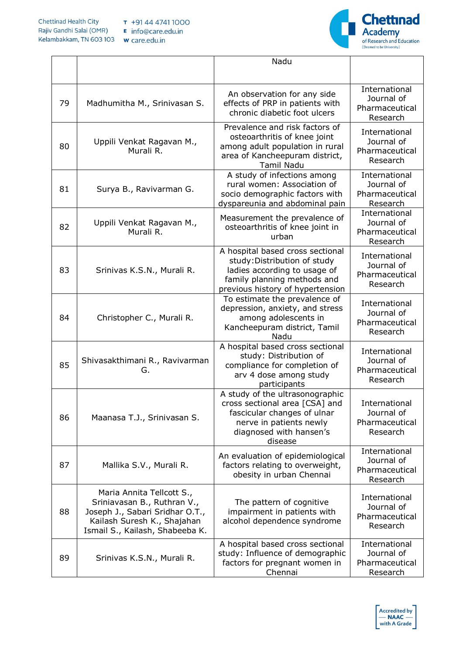

|    |                                                                                                                                                               | Nadu                                                                                                                                                                |                                                           |
|----|---------------------------------------------------------------------------------------------------------------------------------------------------------------|---------------------------------------------------------------------------------------------------------------------------------------------------------------------|-----------------------------------------------------------|
|    |                                                                                                                                                               |                                                                                                                                                                     |                                                           |
| 79 | Madhumitha M., Srinivasan S.                                                                                                                                  | An observation for any side<br>effects of PRP in patients with<br>chronic diabetic foot ulcers                                                                      | International<br>Journal of<br>Pharmaceutical<br>Research |
| 80 | Uppili Venkat Ragavan M.,<br>Murali R.                                                                                                                        | Prevalence and risk factors of<br>osteoarthritis of knee joint<br>among adult population in rural<br>area of Kancheepuram district,<br><b>Tamil Nadu</b>            | International<br>Journal of<br>Pharmaceutical<br>Research |
| 81 | Surya B., Ravivarman G.                                                                                                                                       | A study of infections among<br>rural women: Association of<br>socio demographic factors with<br>dyspareunia and abdominal pain                                      | International<br>Journal of<br>Pharmaceutical<br>Research |
| 82 | Uppili Venkat Ragavan M.,<br>Murali R.                                                                                                                        | Measurement the prevalence of<br>osteoarthritis of knee joint in<br>urban                                                                                           | International<br>Journal of<br>Pharmaceutical<br>Research |
| 83 | Srinivas K.S.N., Murali R.                                                                                                                                    | A hospital based cross sectional<br>study: Distribution of study<br>ladies according to usage of<br>family planning methods and<br>previous history of hypertension | International<br>Journal of<br>Pharmaceutical<br>Research |
| 84 | Christopher C., Murali R.                                                                                                                                     | To estimate the prevalence of<br>depression, anxiety, and stress<br>among adolescents in<br>Kancheepuram district, Tamil<br>Nadu                                    | International<br>Journal of<br>Pharmaceutical<br>Research |
| 85 | Shivasakthimani R., Ravivarman<br>G.                                                                                                                          | A hospital based cross sectional<br>study: Distribution of<br>compliance for completion of<br>arv 4 dose among study<br>participants                                | International<br>Journal of<br>Pharmaceutical<br>Research |
| 86 | Maanasa T.J., Srinivasan S.                                                                                                                                   | A study of the ultrasonographic<br>cross sectional area [CSA] and<br>fascicular changes of ulnar<br>nerve in patients newly<br>diagnosed with hansen's<br>disease   | International<br>Journal of<br>Pharmaceutical<br>Research |
| 87 | Mallika S.V., Murali R.                                                                                                                                       | An evaluation of epidemiological<br>factors relating to overweight,<br>obesity in urban Chennai                                                                     | International<br>Journal of<br>Pharmaceutical<br>Research |
| 88 | Maria Annita Tellcott S.,<br>Sriniavasan B., Ruthran V.,<br>Joseph J., Sabari Sridhar O.T.,<br>Kailash Suresh K., Shajahan<br>Ismail S., Kailash, Shabeeba K. | The pattern of cognitive<br>impairment in patients with<br>alcohol dependence syndrome                                                                              | International<br>Journal of<br>Pharmaceutical<br>Research |
| 89 | Srinivas K.S.N., Murali R.                                                                                                                                    | A hospital based cross sectional<br>study: Influence of demographic<br>factors for pregnant women in<br>Chennai                                                     | International<br>Journal of<br>Pharmaceutical<br>Research |

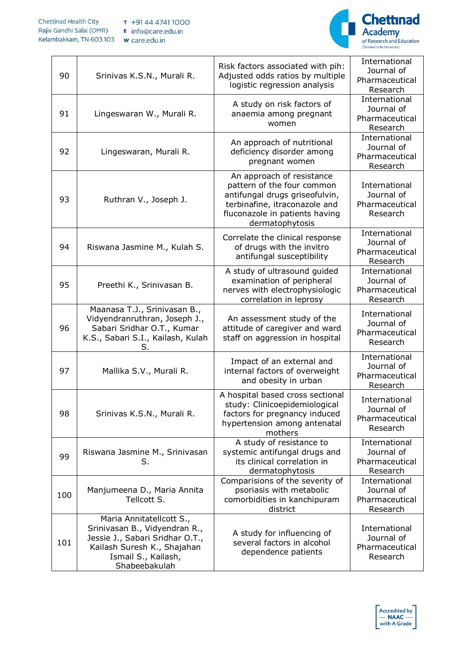

| 90  | Srinivas K.S.N., Murali R.                                                                                                                                          | Risk factors associated with pih:<br>Adjusted odds ratios by multiple<br>logistic regression analysis                                                                           | International<br>Journal of<br>Pharmaceutical<br>Research |
|-----|---------------------------------------------------------------------------------------------------------------------------------------------------------------------|---------------------------------------------------------------------------------------------------------------------------------------------------------------------------------|-----------------------------------------------------------|
| 91  | Lingeswaran W., Murali R.                                                                                                                                           | A study on risk factors of<br>anaemia among pregnant<br>women                                                                                                                   | International<br>Journal of<br>Pharmaceutical<br>Research |
| 92  | Lingeswaran, Murali R.                                                                                                                                              | An approach of nutritional<br>deficiency disorder among<br>pregnant women                                                                                                       | International<br>Journal of<br>Pharmaceutical<br>Research |
| 93  | Ruthran V., Joseph J.                                                                                                                                               | An approach of resistance<br>pattern of the four common<br>antifungal drugs griseofulvin,<br>terbinafine, itraconazole and<br>fluconazole in patients having<br>dermatophytosis | International<br>Journal of<br>Pharmaceutical<br>Research |
| 94  | Riswana Jasmine M., Kulah S.                                                                                                                                        | Correlate the clinical response<br>of drugs with the invitro<br>antifungal susceptibility                                                                                       | International<br>Journal of<br>Pharmaceutical<br>Research |
| 95  | Preethi K., Srinivasan B.                                                                                                                                           | A study of ultrasound guided<br>examination of peripheral<br>nerves with electrophysiologic<br>correlation in leprosy                                                           | International<br>Journal of<br>Pharmaceutical<br>Research |
| 96  | Maanasa T.J., Srinivasan B.,<br>Vidyendranruthran, Joseph J.,<br>Sabari Sridhar O.T., Kumar<br>K.S., Sabari S.I., Kailash, Kulah<br>S.                              | An assessment study of the<br>attitude of caregiver and ward<br>staff on aggression in hospital                                                                                 | International<br>Journal of<br>Pharmaceutical<br>Research |
| 97  | Mallika S.V., Murali R.                                                                                                                                             | Impact of an external and<br>internal factors of overweight<br>and obesity in urban                                                                                             | International<br>Journal of<br>Pharmaceutical<br>Research |
| 98  | Srinivas K.S.N., Murali R.                                                                                                                                          | A hospital based cross sectional<br>study: Clinicoepidemiological<br>factors for pregnancy induced<br>hypertension among antenatal<br>mothers                                   | International<br>Journal of<br>Pharmaceutical<br>Research |
| 99  | Riswana Jasmine M., Srinivasan<br>S.                                                                                                                                | A study of resistance to<br>systemic antifungal drugs and<br>its clinical correlation in<br>dermatophytosis                                                                     | International<br>Journal of<br>Pharmaceutical<br>Research |
| 100 | Manjumeena D., Maria Annita<br>Tellcott S.                                                                                                                          | Comparisions of the severity of<br>psoriasis with metabolic<br>comorbidities in kanchipuram<br>district                                                                         | International<br>Journal of<br>Pharmaceutical<br>Research |
| 101 | Maria Annitatellcott S.,<br>Srinivasan B., Vidyendran R.,<br>Jessie J., Sabari Sridhar O.T.,<br>Kailash Suresh K., Shajahan<br>Ismail S., Kailash,<br>Shabeebakulah | A study for influencing of<br>several factors in alcohol<br>dependence patients                                                                                                 | International<br>Journal of<br>Pharmaceutical<br>Research |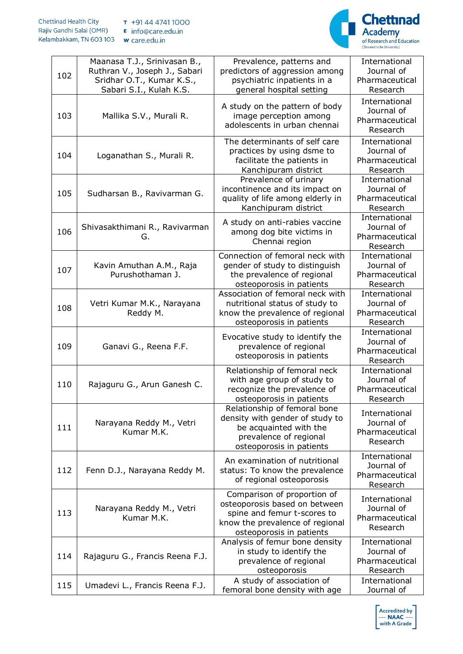

| 102 | Maanasa T.J., Srinivasan B.,<br>Ruthran V., Joseph J., Sabari<br>Sridhar O.T., Kumar K.S.,<br>Sabari S.I., Kulah K.S. | Prevalence, patterns and<br>predictors of aggression among<br>psychiatric inpatients in a<br>general hospital setting                                      | International<br>Journal of<br>Pharmaceutical<br>Research |
|-----|-----------------------------------------------------------------------------------------------------------------------|------------------------------------------------------------------------------------------------------------------------------------------------------------|-----------------------------------------------------------|
| 103 | Mallika S.V., Murali R.                                                                                               | A study on the pattern of body<br>image perception among<br>adolescents in urban chennai                                                                   | International<br>Journal of<br>Pharmaceutical<br>Research |
| 104 | Loganathan S., Murali R.                                                                                              | The determinants of self care<br>practices by using dsme to<br>facilitate the patients in<br>Kanchipuram district                                          | International<br>Journal of<br>Pharmaceutical<br>Research |
| 105 | Sudharsan B., Ravivarman G.                                                                                           | Prevalence of urinary<br>incontinence and its impact on<br>quality of life among elderly in<br>Kanchipuram district                                        | International<br>Journal of<br>Pharmaceutical<br>Research |
| 106 | Shivasakthimani R., Ravivarman<br>G.                                                                                  | A study on anti-rabies vaccine<br>among dog bite victims in<br>Chennai region                                                                              | International<br>Journal of<br>Pharmaceutical<br>Research |
| 107 | Kavin Amuthan A.M., Raja<br>Purushothaman J.                                                                          | Connection of femoral neck with<br>gender of study to distinguish<br>the prevalence of regional<br>osteoporosis in patients                                | International<br>Journal of<br>Pharmaceutical<br>Research |
| 108 | Vetri Kumar M.K., Narayana<br>Reddy M.                                                                                | Association of femoral neck with<br>nutritional status of study to<br>know the prevalence of regional<br>osteoporosis in patients                          | International<br>Journal of<br>Pharmaceutical<br>Research |
| 109 | Ganavi G., Reena F.F.                                                                                                 | Evocative study to identify the<br>prevalence of regional<br>osteoporosis in patients                                                                      | International<br>Journal of<br>Pharmaceutical<br>Research |
| 110 | Rajaguru G., Arun Ganesh C.                                                                                           | Relationship of femoral neck<br>with age group of study to<br>recognize the prevalence of<br>osteoporosis in patients                                      | International<br>Journal of<br>Pharmaceutical<br>Research |
| 111 | Narayana Reddy M., Vetri<br>Kumar M.K.                                                                                | Relationship of femoral bone<br>density with gender of study to<br>be acquainted with the<br>prevalence of regional<br>osteoporosis in patients            | International<br>Journal of<br>Pharmaceutical<br>Research |
| 112 | Fenn D.J., Narayana Reddy M.                                                                                          | An examination of nutritional<br>status: To know the prevalence<br>of regional osteoporosis                                                                | International<br>Journal of<br>Pharmaceutical<br>Research |
| 113 | Narayana Reddy M., Vetri<br>Kumar M.K.                                                                                | Comparison of proportion of<br>osteoporosis based on between<br>spine and femur t-scores to<br>know the prevalence of regional<br>osteoporosis in patients | International<br>Journal of<br>Pharmaceutical<br>Research |
| 114 | Rajaguru G., Francis Reena F.J.                                                                                       | Analysis of femur bone density<br>in study to identify the<br>prevalence of regional<br>osteoporosis                                                       | International<br>Journal of<br>Pharmaceutical<br>Research |
| 115 | Umadevi L., Francis Reena F.J.                                                                                        | A study of association of<br>femoral bone density with age                                                                                                 | International<br>Journal of                               |

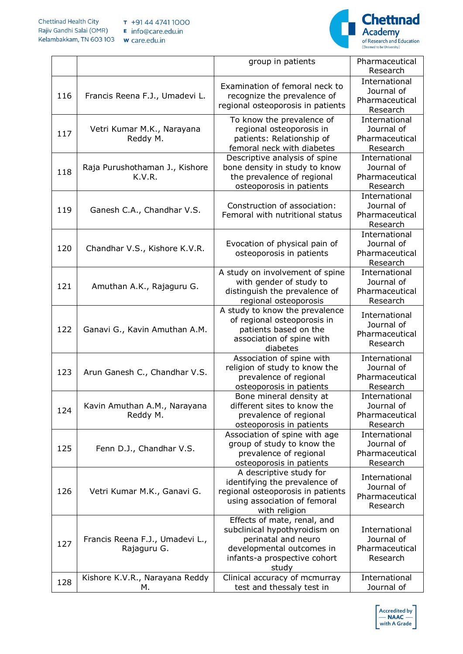

|     |                                 | group in patients                                             | Pharmaceutical               |
|-----|---------------------------------|---------------------------------------------------------------|------------------------------|
|     |                                 |                                                               | Research                     |
|     |                                 | Examination of femoral neck to                                | International                |
| 116 | Francis Reena F.J., Umadevi L.  | recognize the prevalence of                                   | Journal of<br>Pharmaceutical |
|     |                                 | regional osteoporosis in patients                             | Research                     |
|     |                                 |                                                               | International                |
|     | Vetri Kumar M.K., Narayana      | To know the prevalence of<br>regional osteoporosis in         | Journal of                   |
| 117 | Reddy M.                        | patients: Relationship of                                     | Pharmaceutical               |
|     |                                 | femoral neck with diabetes                                    | Research                     |
|     |                                 | Descriptive analysis of spine                                 | International                |
|     | Raja Purushothaman J., Kishore  | bone density in study to know                                 | Journal of                   |
| 118 | K.V.R.                          | the prevalence of regional                                    | Pharmaceutical               |
|     |                                 | osteoporosis in patients                                      | Research                     |
|     |                                 |                                                               | International                |
|     |                                 | Construction of association:                                  | Journal of                   |
| 119 | Ganesh C.A., Chandhar V.S.      | Femoral with nutritional status                               | Pharmaceutical               |
|     |                                 |                                                               | Research                     |
|     |                                 |                                                               | International                |
| 120 | Chandhar V.S., Kishore K.V.R.   | Evocation of physical pain of                                 | Journal of                   |
|     |                                 | osteoporosis in patients                                      | Pharmaceutical               |
|     |                                 |                                                               | Research                     |
|     |                                 | A study on involvement of spine                               | International                |
| 121 | Amuthan A.K., Rajaguru G.       | with gender of study to                                       | Journal of                   |
|     |                                 | distinguish the prevalence of                                 | Pharmaceutical               |
|     |                                 | regional osteoporosis                                         | Research                     |
|     |                                 | A study to know the prevalence<br>of regional osteoporosis in | International                |
| 122 | Ganavi G., Kavin Amuthan A.M.   | patients based on the                                         | Journal of                   |
|     |                                 | association of spine with                                     | Pharmaceutical               |
|     |                                 | diabetes                                                      | Research                     |
|     |                                 | Association of spine with                                     | International                |
|     |                                 | religion of study to know the                                 | Journal of                   |
| 123 | Arun Ganesh C., Chandhar V.S.   | prevalence of regional                                        | Pharmaceutical               |
|     |                                 | osteoporosis in patients                                      | Research                     |
|     |                                 | Bone mineral density at                                       | International                |
| 124 | Kavin Amuthan A.M., Narayana    | different sites to know the                                   | Journal of                   |
|     | Reddy M.                        | prevalence of regional                                        | Pharmaceutical               |
|     |                                 | osteoporosis in patients                                      | Research                     |
|     |                                 | Association of spine with age                                 | International                |
| 125 | Fenn D.J., Chandhar V.S.        | group of study to know the                                    | Journal of                   |
|     |                                 | prevalence of regional                                        | Pharmaceutical               |
|     |                                 | osteoporosis in patients                                      | Research                     |
|     |                                 | A descriptive study for<br>identifying the prevalence of      | International                |
| 126 | Vetri Kumar M.K., Ganavi G.     | regional osteoporosis in patients                             | Journal of                   |
|     |                                 | using association of femoral                                  | Pharmaceutical               |
|     |                                 | with religion                                                 | Research                     |
|     |                                 | Effects of mate, renal, and                                   |                              |
|     |                                 | subclinical hypothyroidism on                                 | International                |
|     | Francis Reena F.J., Umadevi L., | perinatal and neuro                                           | Journal of                   |
| 127 | Rajaguru G.                     | developmental outcomes in                                     | Pharmaceutical               |
|     |                                 | infants-a prospective cohort                                  | Research                     |
|     |                                 | study                                                         |                              |
| 128 | Kishore K.V.R., Narayana Reddy  | Clinical accuracy of mcmurray                                 | International                |
|     | М.                              | test and thessaly test in                                     | Journal of                   |

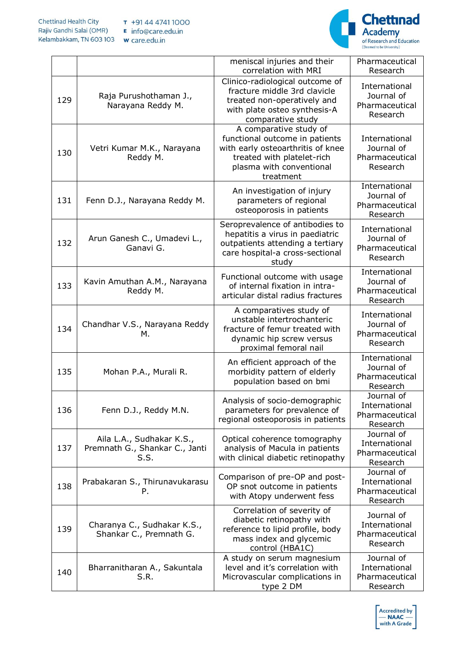

|     |                                                                     | meniscal injuries and their<br>correlation with MRI                                                                                                                  | Pharmaceutical<br>Research                                |
|-----|---------------------------------------------------------------------|----------------------------------------------------------------------------------------------------------------------------------------------------------------------|-----------------------------------------------------------|
| 129 | Raja Purushothaman J.,<br>Narayana Reddy M.                         | Clinico-radiological outcome of<br>fracture middle 3rd clavicle<br>treated non-operatively and<br>with plate osteo synthesis-A<br>comparative study                  | International<br>Journal of<br>Pharmaceutical<br>Research |
| 130 | Vetri Kumar M.K., Narayana<br>Reddy M.                              | A comparative study of<br>functional outcome in patients<br>with early osteoarthritis of knee<br>treated with platelet-rich<br>plasma with conventional<br>treatment | International<br>Journal of<br>Pharmaceutical<br>Research |
| 131 | Fenn D.J., Narayana Reddy M.                                        | An investigation of injury<br>parameters of regional<br>osteoporosis in patients                                                                                     | International<br>Journal of<br>Pharmaceutical<br>Research |
| 132 | Arun Ganesh C., Umadevi L.,<br>Ganavi G.                            | Seroprevalence of antibodies to<br>hepatitis a virus in paediatric<br>outpatients attending a tertiary<br>care hospital-a cross-sectional<br>study                   | International<br>Journal of<br>Pharmaceutical<br>Research |
| 133 | Kavin Amuthan A.M., Narayana<br>Reddy M.                            | Functional outcome with usage<br>of internal fixation in intra-<br>articular distal radius fractures                                                                 | International<br>Journal of<br>Pharmaceutical<br>Research |
| 134 | Chandhar V.S., Narayana Reddy<br>М.                                 | A comparatives study of<br>unstable intertrochanteric<br>fracture of femur treated with<br>dynamic hip screw versus<br>proximal femoral nail                         | International<br>Journal of<br>Pharmaceutical<br>Research |
| 135 | Mohan P.A., Murali R.                                               | An efficient approach of the<br>morbidity pattern of elderly<br>population based on bmi                                                                              | International<br>Journal of<br>Pharmaceutical<br>Research |
| 136 | Fenn D.J., Reddy M.N.                                               | Analysis of socio-demographic<br>parameters for prevalence of<br>regional osteoporosis in patients                                                                   | Journal of<br>International<br>Pharmaceutical<br>Research |
| 137 | Aila L.A., Sudhakar K.S.,<br>Premnath G., Shankar C., Janti<br>S.S. | Optical coherence tomography<br>analysis of Macula in patients<br>with clinical diabetic retinopathy                                                                 | Journal of<br>International<br>Pharmaceutical<br>Research |
| 138 | Prabakaran S., Thirunavukarasu<br>Ρ.                                | Comparison of pre-OP and post-<br>OP snot outcome in patients<br>with Atopy underwent fess                                                                           | Journal of<br>International<br>Pharmaceutical<br>Research |
| 139 | Charanya C., Sudhakar K.S.,<br>Shankar C., Premnath G.              | Correlation of severity of<br>diabetic retinopathy with<br>reference to lipid profile, body<br>mass index and glycemic<br>control (HBA1C)                            | Journal of<br>International<br>Pharmaceutical<br>Research |
| 140 | Bharranitharan A., Sakuntala<br>S.R.                                | A study on serum magnesium<br>level and it's correlation with<br>Microvascular complications in<br>type 2 DM                                                         | Journal of<br>International<br>Pharmaceutical<br>Research |

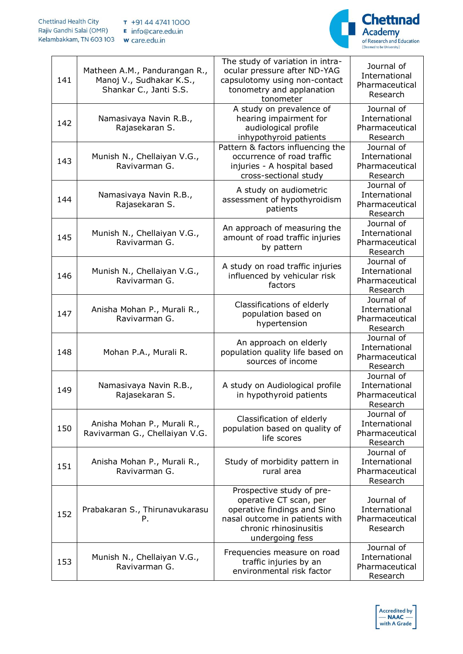**Chettinad Health City** T +91 44 4741 1000 Rajiv Gandhi Salai (OMR) E info@care.edu.in Kelambakkam, TN 603 103 w care.edu.in



| 141 | Matheen A.M., Pandurangan R.,<br>Manoj V., Sudhakar K.S.,<br>Shankar C., Janti S.S. | The study of variation in intra-<br>ocular pressure after ND-YAG<br>capsulotomy using non-contact<br>tonometry and applanation<br>tonometer                       | Journal of<br>International<br>Pharmaceutical<br>Research |
|-----|-------------------------------------------------------------------------------------|-------------------------------------------------------------------------------------------------------------------------------------------------------------------|-----------------------------------------------------------|
| 142 | Namasivaya Navin R.B.,<br>Rajasekaran S.                                            | A study on prevalence of<br>hearing impairment for<br>audiological profile<br>inhypothyroid patients                                                              | Journal of<br>International<br>Pharmaceutical<br>Research |
| 143 | Munish N., Chellaiyan V.G.,<br>Ravivarman G.                                        | Pattern & factors influencing the<br>occurrence of road traffic<br>injuries - A hospital based<br>cross-sectional study                                           | Journal of<br>International<br>Pharmaceutical<br>Research |
| 144 | Namasivaya Navin R.B.,<br>Rajasekaran S.                                            | A study on audiometric<br>assessment of hypothyroidism<br>patients                                                                                                | Journal of<br>International<br>Pharmaceutical<br>Research |
| 145 | Munish N., Chellaiyan V.G.,<br>Ravivarman G.                                        | An approach of measuring the<br>amount of road traffic injuries<br>by pattern                                                                                     | Journal of<br>International<br>Pharmaceutical<br>Research |
| 146 | Munish N., Chellaiyan V.G.,<br>Ravivarman G.                                        | A study on road traffic injuries<br>influenced by vehicular risk<br>factors                                                                                       | Journal of<br>International<br>Pharmaceutical<br>Research |
| 147 | Anisha Mohan P., Murali R.,<br>Ravivarman G.                                        | Classifications of elderly<br>population based on<br>hypertension                                                                                                 | Journal of<br>International<br>Pharmaceutical<br>Research |
| 148 | Mohan P.A., Murali R.                                                               | An approach on elderly<br>population quality life based on<br>sources of income                                                                                   | Journal of<br>International<br>Pharmaceutical<br>Research |
| 149 | Namasivaya Navin R.B.,<br>Rajasekaran S.                                            | A study on Audiological profile<br>in hypothyroid patients                                                                                                        | Journal of<br>International<br>Pharmaceutical<br>Research |
| 150 | Anisha Mohan P., Murali R.,<br>Ravivarman G., Chellaiyan V.G.                       | Classification of elderly<br>population based on quality of<br>life scores                                                                                        | Journal of<br>International<br>Pharmaceutical<br>Research |
| 151 | Anisha Mohan P., Murali R.,<br>Ravivarman G.                                        | Study of morbidity pattern in<br>rural area                                                                                                                       | Journal of<br>International<br>Pharmaceutical<br>Research |
| 152 | Prabakaran S., Thirunavukarasu<br>Ρ.                                                | Prospective study of pre-<br>operative CT scan, per<br>operative findings and Sino<br>nasal outcome in patients with<br>chronic rhinosinusitis<br>undergoing fess | Journal of<br>International<br>Pharmaceutical<br>Research |
| 153 | Munish N., Chellaiyan V.G.,<br>Ravivarman G.                                        | Frequencies measure on road<br>traffic injuries by an<br>environmental risk factor                                                                                | Journal of<br>International<br>Pharmaceutical<br>Research |

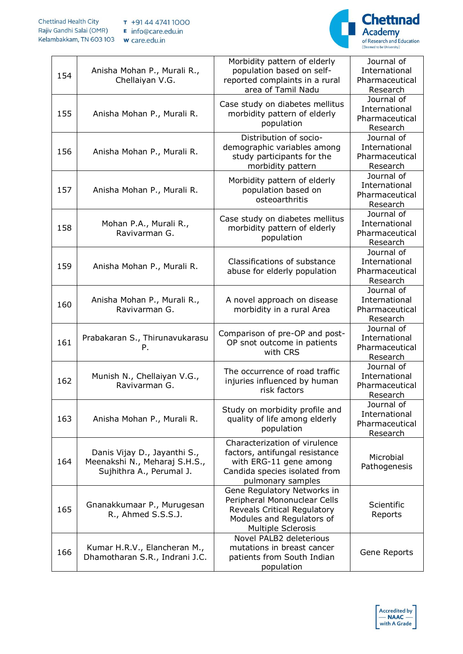

| 154 | Anisha Mohan P., Murali R.,<br>Chellaiyan V.G.                                            | Morbidity pattern of elderly<br>population based on self-<br>reported complaints in a rural<br>area of Tamil Nadu                                    | Journal of<br>International<br>Pharmaceutical<br>Research |
|-----|-------------------------------------------------------------------------------------------|------------------------------------------------------------------------------------------------------------------------------------------------------|-----------------------------------------------------------|
| 155 | Anisha Mohan P., Murali R.                                                                | Case study on diabetes mellitus<br>morbidity pattern of elderly<br>population                                                                        | Journal of<br>International<br>Pharmaceutical<br>Research |
| 156 | Anisha Mohan P., Murali R.                                                                | Distribution of socio-<br>demographic variables among<br>study participants for the<br>morbidity pattern                                             | Journal of<br>International<br>Pharmaceutical<br>Research |
| 157 | Anisha Mohan P., Murali R.                                                                | Morbidity pattern of elderly<br>population based on<br>osteoarthritis                                                                                | Journal of<br>International<br>Pharmaceutical<br>Research |
| 158 | Mohan P.A., Murali R.,<br>Ravivarman G.                                                   | Case study on diabetes mellitus<br>morbidity pattern of elderly<br>population                                                                        | Journal of<br>International<br>Pharmaceutical<br>Research |
| 159 | Anisha Mohan P., Murali R.                                                                | Classifications of substance<br>abuse for elderly population                                                                                         | Journal of<br>International<br>Pharmaceutical<br>Research |
| 160 | Anisha Mohan P., Murali R.,<br>Ravivarman G.                                              | A novel approach on disease<br>morbidity in a rural Area                                                                                             | Journal of<br>International<br>Pharmaceutical<br>Research |
| 161 | Prabakaran S., Thirunavukarasu<br>Ρ.                                                      | Comparison of pre-OP and post-<br>OP snot outcome in patients<br>with CRS                                                                            | Journal of<br>International<br>Pharmaceutical<br>Research |
| 162 | Munish N., Chellaiyan V.G.,<br>Ravivarman G.                                              | The occurrence of road traffic<br>injuries influenced by human<br>risk factors                                                                       | Journal of<br>International<br>Pharmaceutical<br>Research |
| 163 | Anisha Mohan P., Murali R.                                                                | Study on morbidity profile and<br>quality of life among elderly<br>population                                                                        | Journal of<br>International<br>Pharmaceutical<br>Research |
| 164 | Danis Vijay D., Jayanthi S.,<br>Meenakshi N., Meharaj S.H.S.,<br>Sujhithra A., Perumal J. | Characterization of virulence<br>factors, antifungal resistance<br>with ERG-11 gene among<br>Candida species isolated from<br>pulmonary samples      | Microbial<br>Pathogenesis                                 |
| 165 | Gnanakkumaar P., Murugesan<br>R., Ahmed S.S.S.J.                                          | Gene Regulatory Networks in<br>Peripheral Mononuclear Cells<br>Reveals Critical Regulatory<br>Modules and Regulators of<br><b>Multiple Sclerosis</b> | Scientific<br>Reports                                     |
| 166 | Kumar H.R.V., Elancheran M.,<br>Dhamotharan S.R., Indrani J.C.                            | Novel PALB2 deleterious<br>mutations in breast cancer<br>patients from South Indian<br>population                                                    | Gene Reports                                              |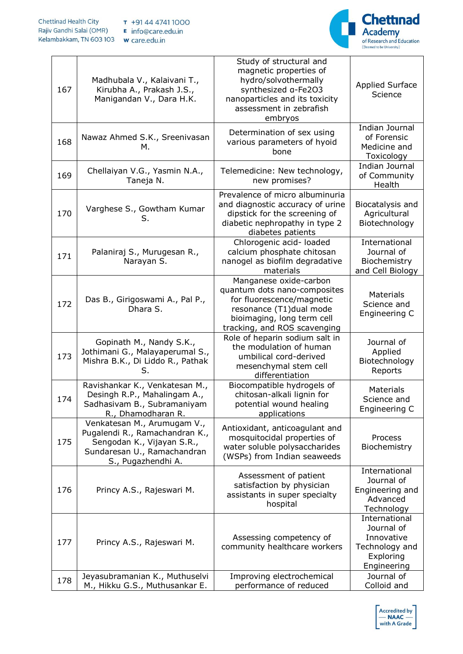

| 167 | Madhubala V., Kalaivani T.,<br>Kirubha A., Prakash J.S.,<br>Manigandan V., Dara H.K.                                                             | Study of structural and<br>magnetic properties of<br>hydro/solvothermally<br>synthesized a-Fe2O3<br>nanoparticles and its toxicity<br>assessment in zebrafish<br>embryos     | <b>Applied Surface</b><br>Science                                                       |
|-----|--------------------------------------------------------------------------------------------------------------------------------------------------|------------------------------------------------------------------------------------------------------------------------------------------------------------------------------|-----------------------------------------------------------------------------------------|
| 168 | Nawaz Ahmed S.K., Sreenivasan<br>м.                                                                                                              | Determination of sex using<br>various parameters of hyoid<br>bone                                                                                                            | Indian Journal<br>of Forensic<br>Medicine and<br>Toxicology                             |
| 169 | Chellaiyan V.G., Yasmin N.A.,<br>Taneja N.                                                                                                       | Telemedicine: New technology,<br>new promises?                                                                                                                               | Indian Journal<br>of Community<br>Health                                                |
| 170 | Varghese S., Gowtham Kumar<br>S.                                                                                                                 | Prevalence of micro albuminuria<br>and diagnostic accuracy of urine<br>dipstick for the screening of<br>diabetic nephropathy in type 2<br>diabetes patients                  | Biocatalysis and<br>Agricultural<br>Biotechnology                                       |
| 171 | Palaniraj S., Murugesan R.,<br>Narayan S.                                                                                                        | Chlorogenic acid- loaded<br>calcium phosphate chitosan<br>nanogel as biofilm degradative<br>materials                                                                        | International<br>Journal of<br>Biochemistry<br>and Cell Biology                         |
| 172 | Das B., Girigoswami A., Pal P.,<br>Dhara S.                                                                                                      | Manganese oxide-carbon<br>quantum dots nano-composites<br>for fluorescence/magnetic<br>resonance (T1)dual mode<br>bioimaging, long term cell<br>tracking, and ROS scavenging | <b>Materials</b><br>Science and<br>Engineering C                                        |
| 173 | Gopinath M., Nandy S.K.,<br>Jothimani G., Malayaperumal S.,<br>Mishra B.K., Di Liddo R., Pathak<br>S.                                            | Role of heparin sodium salt in<br>the modulation of human<br>umbilical cord-derived<br>mesenchymal stem cell<br>differentiation                                              | Journal of<br>Applied<br>Biotechnology<br>Reports                                       |
| 174 | Ravishankar K., Venkatesan M.,<br>Desingh R.P., Mahalingam A.,<br>Sadhasivam B., Subramaniyam<br>R., Dhamodharan R.                              | Biocompatible hydrogels of<br>chitosan-alkali lignin for<br>potential wound healing<br>applications                                                                          | <b>Materials</b><br>Science and<br>Engineering C                                        |
| 175 | Venkatesan M., Arumugam V.,<br>Pugalendi R., Ramachandran K.,<br>Sengodan K., Vijayan S.R.,<br>Sundaresan U., Ramachandran<br>S., Pugazhendhi A. | Antioxidant, anticoagulant and<br>mosquitocidal properties of<br>water soluble polysaccharides<br>(WSPs) from Indian seaweeds                                                | Process<br>Biochemistry                                                                 |
| 176 | Princy A.S., Rajeswari M.                                                                                                                        | Assessment of patient<br>satisfaction by physician<br>assistants in super specialty<br>hospital                                                                              | International<br>Journal of<br>Engineering and<br>Advanced<br>Technology                |
| 177 | Princy A.S., Rajeswari M.                                                                                                                        | Assessing competency of<br>community healthcare workers                                                                                                                      | International<br>Journal of<br>Innovative<br>Technology and<br>Exploring<br>Engineering |
| 178 | Jeyasubramanian K., Muthuselvi<br>M., Hikku G.S., Muthusankar E.                                                                                 | Improving electrochemical<br>performance of reduced                                                                                                                          | Journal of<br>Colloid and                                                               |

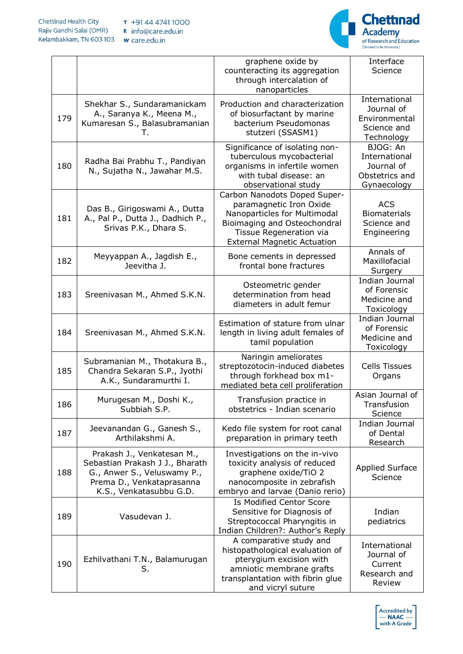

|     |                                                                                                                                                      | graphene oxide by<br>counteracting its aggregation<br>through intercalation of<br>nanoparticles                                                                                          | Interface<br>Science                                                      |
|-----|------------------------------------------------------------------------------------------------------------------------------------------------------|------------------------------------------------------------------------------------------------------------------------------------------------------------------------------------------|---------------------------------------------------------------------------|
| 179 | Shekhar S., Sundaramanickam<br>A., Saranya K., Meena M.,<br>Kumaresan S., Balasubramanian<br>Т.                                                      | Production and characterization<br>of biosurfactant by marine<br>bacterium Pseudomonas<br>stutzeri (SSASM1)                                                                              | International<br>Journal of<br>Environmental<br>Science and<br>Technology |
| 180 | Radha Bai Prabhu T., Pandiyan<br>N., Sujatha N., Jawahar M.S.                                                                                        | Significance of isolating non-<br>tuberculous mycobacterial<br>organisms in infertile women<br>with tubal disease: an<br>observational study                                             | BJOG: An<br>International<br>Journal of<br>Obstetrics and<br>Gynaecology  |
| 181 | Das B., Girigoswami A., Dutta<br>A., Pal P., Dutta J., Dadhich P.,<br>Srivas P.K., Dhara S.                                                          | Carbon Nanodots Doped Super-<br>paramagnetic Iron Oxide<br>Nanoparticles for Multimodal<br>Bioimaging and Osteochondral<br>Tissue Regeneration via<br><b>External Magnetic Actuation</b> | <b>ACS</b><br><b>Biomaterials</b><br>Science and<br>Engineering           |
| 182 | Meyyappan A., Jagdish E.,<br>Jeevitha J.                                                                                                             | Bone cements in depressed<br>frontal bone fractures                                                                                                                                      | Annals of<br>Maxillofacial<br>Surgery                                     |
| 183 | Sreenivasan M., Ahmed S.K.N.                                                                                                                         | Osteometric gender<br>determination from head<br>diameters in adult femur                                                                                                                | Indian Journal<br>of Forensic<br>Medicine and<br>Toxicology               |
| 184 | Sreenivasan M., Ahmed S.K.N.                                                                                                                         | Estimation of stature from ulnar<br>length in living adult females of<br>tamil population                                                                                                | <b>Indian Journal</b><br>of Forensic<br>Medicine and<br>Toxicology        |
| 185 | Subramanian M., Thotakura B.,<br>Chandra Sekaran S.P., Jyothi<br>A.K., Sundaramurthi I.                                                              | Naringin ameliorates<br>streptozotocin-induced diabetes<br>through forkhead box m1-<br>mediated beta cell proliferation                                                                  | <b>Cells Tissues</b><br>Organs                                            |
| 186 | Murugesan M., Doshi K.,<br>Subbiah S.P.                                                                                                              | Transfusion practice in<br>obstetrics - Indian scenario                                                                                                                                  | Asian Journal of<br>Transfusion<br>Science                                |
| 187 | Jeevanandan G., Ganesh S.,<br>Arthilakshmi A.                                                                                                        | Kedo file system for root canal<br>preparation in primary teeth                                                                                                                          | Indian Journal<br>of Dental<br>Research                                   |
| 188 | Prakash J., Venkatesan M.,<br>Sebastian Prakash J J., Bharath<br>G., Anwer S., Veluswamy P.,<br>Prema D., Venkataprasanna<br>K.S., Venkatasubbu G.D. | Investigations on the in-vivo<br>toxicity analysis of reduced<br>graphene oxide/TiO 2<br>nanocomposite in zebrafish<br>embryo and larvae (Danio rerio)                                   | <b>Applied Surface</b><br>Science                                         |
| 189 | Vasudevan J.                                                                                                                                         | Is Modified Centor Score<br>Sensitive for Diagnosis of<br>Streptococcal Pharyngitis in<br>Indian Children?: Author's Reply                                                               | Indian<br>pediatrics                                                      |
| 190 | Ezhilvathani T.N., Balamurugan<br>S.                                                                                                                 | A comparative study and<br>histopathological evaluation of<br>pterygium excision with<br>amniotic membrane grafts<br>transplantation with fibrin glue<br>and vicryl suture               | International<br>Journal of<br>Current<br>Research and<br>Review          |

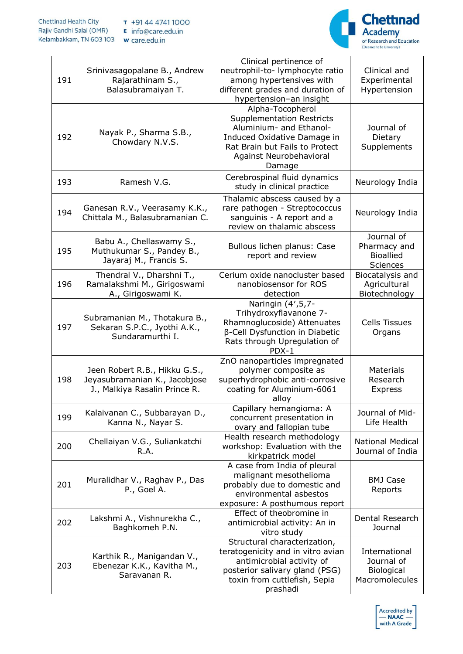

| 191 | Srinivasagopalane B., Andrew<br>Rajarathinam S.,<br>Balasubramaiyan T.                          | Clinical pertinence of<br>neutrophil-to- lymphocyte ratio<br>among hypertensives with<br>different grades and duration of<br>hypertension-an insight                                  | Clinical and<br>Experimental<br>Hypertension                |
|-----|-------------------------------------------------------------------------------------------------|---------------------------------------------------------------------------------------------------------------------------------------------------------------------------------------|-------------------------------------------------------------|
| 192 | Nayak P., Sharma S.B.,<br>Chowdary N.V.S.                                                       | Alpha-Tocopherol<br><b>Supplementation Restricts</b><br>Aluminium- and Ethanol-<br>Induced Oxidative Damage in<br>Rat Brain but Fails to Protect<br>Against Neurobehavioral<br>Damage | Journal of<br>Dietary<br>Supplements                        |
| 193 | Ramesh V.G.                                                                                     | Cerebrospinal fluid dynamics<br>study in clinical practice                                                                                                                            | Neurology India                                             |
| 194 | Ganesan R.V., Veerasamy K.K.,<br>Chittala M., Balasubramanian C.                                | Thalamic abscess caused by a<br>rare pathogen - Streptococcus<br>sanguinis - A report and a<br>review on thalamic abscess                                                             | Neurology India                                             |
| 195 | Babu A., Chellaswamy S.,<br>Muthukumar S., Pandey B.,<br>Jayaraj M., Francis S.                 | Bullous lichen planus: Case<br>report and review                                                                                                                                      | Journal of<br>Pharmacy and<br><b>Bioallied</b><br>Sciences  |
| 196 | Thendral V., Dharshni T.,<br>Ramalakshmi M., Girigoswami<br>A., Girigoswami K.                  | Cerium oxide nanocluster based<br>nanobiosensor for ROS<br>detection                                                                                                                  | Biocatalysis and<br>Agricultural<br>Biotechnology           |
| 197 | Subramanian M., Thotakura B.,<br>Sekaran S.P.C., Jyothi A.K.,<br>Sundaramurthi I.               | Naringin (4', 5, 7-<br>Trihydroxyflavanone 7-<br>Rhamnoglucoside) Attenuates<br>β-Cell Dysfunction in Diabetic<br>Rats through Upregulation of<br>PDX-1                               | <b>Cells Tissues</b><br>Organs                              |
| 198 | Jeen Robert R.B., Hikku G.S.,<br>Jeyasubramanian K., Jacobjose<br>J., Malkiya Rasalin Prince R. | ZnO nanoparticles impregnated<br>polymer composite as<br>superhydrophobic anti-corrosive<br>coating for Aluminium-6061<br>alloy                                                       | <b>Materials</b><br>Research<br><b>Express</b>              |
| 199 | Kalaivanan C., Subbarayan D.,<br>Kanna N., Nayar S.                                             | Capillary hemangioma: A<br>concurrent presentation in<br>ovary and fallopian tube                                                                                                     | Journal of Mid-<br>Life Health                              |
| 200 | Chellaiyan V.G., Suliankatchi<br>R.A.                                                           | Health research methodology<br>workshop: Evaluation with the<br>kirkpatrick model                                                                                                     | <b>National Medical</b><br>Journal of India                 |
| 201 | Muralidhar V., Raghav P., Das<br>P., Goel A.                                                    | A case from India of pleural<br>malignant mesothelioma<br>probably due to domestic and<br>environmental asbestos<br>exposure: A posthumous report                                     | <b>BMJ Case</b><br>Reports                                  |
| 202 | Lakshmi A., Vishnurekha C.,<br>Baghkomeh P.N.                                                   | Effect of theobromine in<br>antimicrobial activity: An in<br>vitro study                                                                                                              | Dental Research<br>Journal                                  |
| 203 | Karthik R., Manigandan V.,<br>Ebenezar K.K., Kavitha M.,<br>Saravanan R.                        | Structural characterization,<br>teratogenicity and in vitro avian<br>antimicrobial activity of<br>posterior salivary gland (PSG)<br>toxin from cuttlefish, Sepia<br>prashadi          | International<br>Journal of<br>Biological<br>Macromolecules |